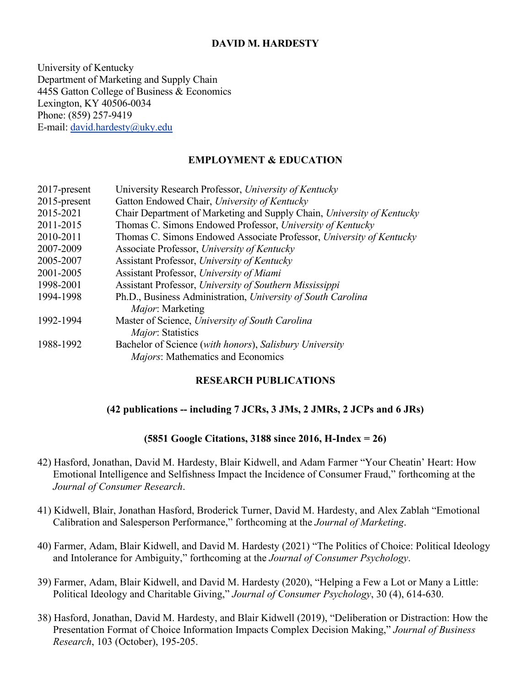# **DAVID M. HARDESTY**

University of Kentucky Department of Marketing and Supply Chain 445S Gatton College of Business & Economics Lexington, KY 40506-0034 Phone: (859) 257-9419 E-mail: [david.hardesty@uky.edu](mailto:david.hardesty@uky.edu)

# **EMPLOYMENT & EDUCATION**

| 2017-present | University Research Professor, University of Kentucky                  |
|--------------|------------------------------------------------------------------------|
| 2015-present | Gatton Endowed Chair, University of Kentucky                           |
| 2015-2021    | Chair Department of Marketing and Supply Chain, University of Kentucky |
| 2011-2015    | Thomas C. Simons Endowed Professor, University of Kentucky             |
| 2010-2011    | Thomas C. Simons Endowed Associate Professor, University of Kentucky   |
| 2007-2009    | Associate Professor, University of Kentucky                            |
| 2005-2007    | Assistant Professor, University of Kentucky                            |
| 2001-2005    | Assistant Professor, University of Miami                               |
| 1998-2001    | Assistant Professor, University of Southern Mississippi                |
| 1994-1998    | Ph.D., Business Administration, University of South Carolina           |
|              | <i>Major</i> : Marketing                                               |
| 1992-1994    | Master of Science, University of South Carolina                        |
|              | Major: Statistics                                                      |
| 1988-1992    | Bachelor of Science (with honors), Salisbury University                |
|              | Majors: Mathematics and Economics                                      |

### **RESEARCH PUBLICATIONS**

### **(42 publications -- including 7 JCRs, 3 JMs, 2 JMRs, 2 JCPs and 6 JRs)**

#### **(5851 Google Citations, 3188 since 2016, H-Index = 26)**

- 42) Hasford, Jonathan, David M. Hardesty, Blair Kidwell, and Adam Farmer "Your Cheatin' Heart: How Emotional Intelligence and Selfishness Impact the Incidence of Consumer Fraud," forthcoming at the *Journal of Consumer Research*.
- 41) Kidwell, Blair, Jonathan Hasford, Broderick Turner, David M. Hardesty, and Alex Zablah "Emotional Calibration and Salesperson Performance," forthcoming at the *Journal of Marketing*.
- 40) Farmer, Adam, Blair Kidwell, and David M. Hardesty (2021) "The Politics of Choice: Political Ideology and Intolerance for Ambiguity," forthcoming at the *Journal of Consumer Psychology*.
- 39) Farmer, Adam, Blair Kidwell, and David M. Hardesty (2020), "Helping a Few a Lot or Many a Little: Political Ideology and Charitable Giving," *Journal of Consumer Psychology*, 30 (4), 614-630.
- 38) Hasford, Jonathan, David M. Hardesty, and Blair Kidwell (2019), "Deliberation or Distraction: How the Presentation Format of Choice Information Impacts Complex Decision Making," *Journal of Business Research*, 103 (October), 195-205.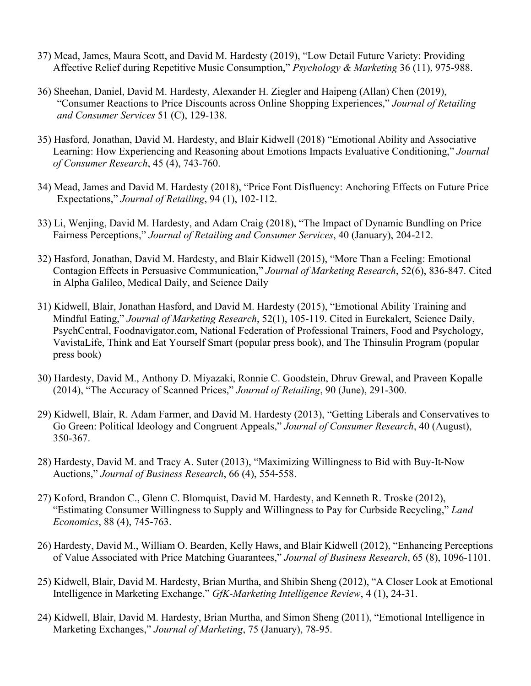- 37) Mead, James, Maura Scott, and David M. Hardesty (2019), "Low Detail Future Variety: Providing Affective Relief during Repetitive Music Consumption," *Psychology & Marketing* 36 (11), 975-988.
- 36) Sheehan, Daniel, David M. Hardesty, Alexander H. Ziegler and Haipeng (Allan) Chen (2019), "Consumer Reactions to Price Discounts across Online Shopping Experiences," *Journal of Retailing and Consumer Services* 51 (C), 129-138.
- 35) Hasford, Jonathan, David M. Hardesty, and Blair Kidwell (2018) "Emotional Ability and Associative Learning: How Experiencing and Reasoning about Emotions Impacts Evaluative Conditioning," *Journal of Consumer Research*, 45 (4), 743-760.
- 34) Mead, James and David M. Hardesty (2018), "Price Font Disfluency: Anchoring Effects on Future Price Expectations," *Journal of Retailing*, 94 (1), 102-112.
- 33) Li, Wenjing, David M. Hardesty, and Adam Craig (2018), "The Impact of Dynamic Bundling on Price Fairness Perceptions," *Journal of Retailing and Consumer Services*, 40 (January), 204-212.
- 32) Hasford, Jonathan, David M. Hardesty, and Blair Kidwell (2015), "More Than a Feeling: Emotional Contagion Effects in Persuasive Communication," *Journal of Marketing Research*, 52(6), 836-847. Cited in Alpha Galileo, Medical Daily, and Science Daily
- 31) Kidwell, Blair, Jonathan Hasford, and David M. Hardesty (2015), "Emotional Ability Training and Mindful Eating," *Journal of Marketing Research*, 52(1), 105-119. Cited in Eurekalert, Science Daily, PsychCentral, Foodnavigator.com, National Federation of Professional Trainers, Food and Psychology, VavistaLife, Think and Eat Yourself Smart (popular press book), and The Thinsulin Program (popular press book)
- 30) Hardesty, David M., Anthony D. Miyazaki, Ronnie C. Goodstein, Dhruv Grewal, and Praveen Kopalle (2014), "The Accuracy of Scanned Prices," *Journal of Retailing*, 90 (June), 291-300.
- 29) Kidwell, Blair, R. Adam Farmer, and David M. Hardesty (2013), "Getting Liberals and Conservatives to Go Green: Political Ideology and Congruent Appeals," *Journal of Consumer Research*, 40 (August), 350-367.
- 28) Hardesty, David M. and Tracy A. Suter (2013), "Maximizing Willingness to Bid with Buy-It-Now Auctions," *Journal of Business Research*, 66 (4), 554-558.
- 27) Koford, Brandon C., Glenn C. Blomquist, David M. Hardesty, and Kenneth R. Troske (2012), "Estimating Consumer Willingness to Supply and Willingness to Pay for Curbside Recycling," *Land Economics*, 88 (4), 745-763.
- 26) Hardesty, David M., William O. Bearden, Kelly Haws, and Blair Kidwell (2012), "Enhancing Perceptions of Value Associated with Price Matching Guarantees," *Journal of Business Research*, 65 (8), 1096-1101.
- 25) Kidwell, Blair, David M. Hardesty, Brian Murtha, and Shibin Sheng (2012), "A Closer Look at Emotional Intelligence in Marketing Exchange," *GfK-Marketing Intelligence Review*, 4 (1), 24-31.
- 24) Kidwell, Blair, David M. Hardesty, Brian Murtha, and Simon Sheng (2011), "Emotional Intelligence in Marketing Exchanges," *Journal of Marketing*, 75 (January), 78-95.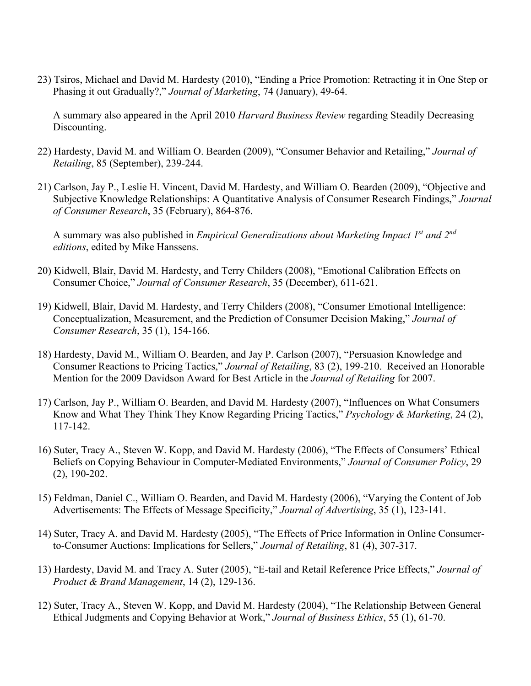23) Tsiros, Michael and David M. Hardesty (2010), "Ending a Price Promotion: Retracting it in One Step or Phasing it out Gradually?," *Journal of Marketing*, 74 (January), 49-64.

A summary also appeared in the April 2010 *Harvard Business Review* regarding Steadily Decreasing Discounting.

- 22) Hardesty, David M. and William O. Bearden (2009), "Consumer Behavior and Retailing," *Journal of Retailing*, 85 (September), 239-244.
- 21) Carlson, Jay P., Leslie H. Vincent, David M. Hardesty, and William O. Bearden (2009), "Objective and Subjective Knowledge Relationships: A Quantitative Analysis of Consumer Research Findings," *Journal of Consumer Research*, 35 (February), 864-876.

A summary was also published in *Empirical Generalizations about Marketing Impact 1st and 2nd editions*, edited by Mike Hanssens.

- 20) Kidwell, Blair, David M. Hardesty, and Terry Childers (2008), "Emotional Calibration Effects on Consumer Choice," *Journal of Consumer Research*, 35 (December), 611-621.
- 19) Kidwell, Blair, David M. Hardesty, and Terry Childers (2008), "Consumer Emotional Intelligence: Conceptualization, Measurement, and the Prediction of Consumer Decision Making," *Journal of Consumer Research*, 35 (1), 154-166.
- 18) Hardesty, David M., William O. Bearden, and Jay P. Carlson (2007), "Persuasion Knowledge and Consumer Reactions to Pricing Tactics," *Journal of Retailing*, 83 (2), 199-210. Received an Honorable Mention for the 2009 Davidson Award for Best Article in the *Journal of Retailing* for 2007.
- 17) Carlson, Jay P., William O. Bearden, and David M. Hardesty (2007), "Influences on What Consumers Know and What They Think They Know Regarding Pricing Tactics," *Psychology & Marketing*, 24 (2), 117-142.
- 16) Suter, Tracy A., Steven W. Kopp, and David M. Hardesty (2006), "The Effects of Consumers' Ethical Beliefs on Copying Behaviour in Computer-Mediated Environments," *Journal of Consumer Policy*, 29 (2), 190-202.
- 15) Feldman, Daniel C., William O. Bearden, and David M. Hardesty (2006), "Varying the Content of Job Advertisements: The Effects of Message Specificity," *Journal of Advertising*, 35 (1), 123-141.
- 14) Suter, Tracy A. and David M. Hardesty (2005), "The Effects of Price Information in Online Consumerto-Consumer Auctions: Implications for Sellers," *Journal of Retailing*, 81 (4), 307-317.
- 13) Hardesty, David M. and Tracy A. Suter (2005), "E-tail and Retail Reference Price Effects," *Journal of Product & Brand Management*, 14 (2), 129-136.
- 12) Suter, Tracy A., Steven W. Kopp, and David M. Hardesty (2004), "The Relationship Between General Ethical Judgments and Copying Behavior at Work," *Journal of Business Ethics*, 55 (1), 61-70.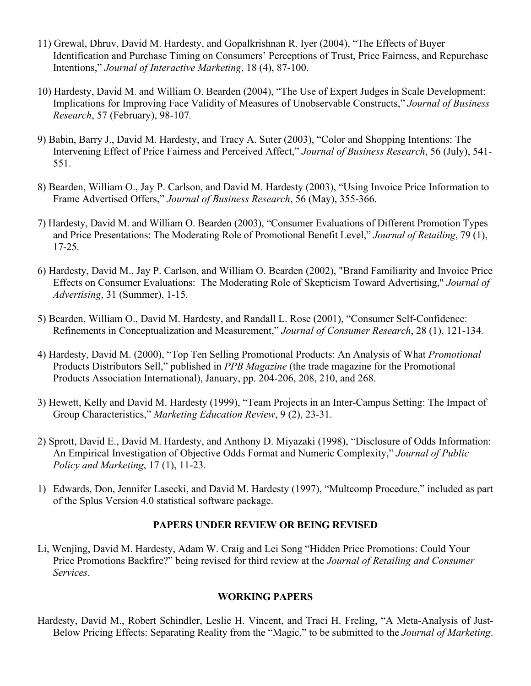- 11) Grewal, Dhruv, David M. Hardesty, and Gopalkrishnan R. Iyer (2004), "The Effects of Buyer Identification and Purchase Timing on Consumers' Perceptions of Trust, Price Fairness, and Repurchase Intentions," *Journal of Interactive Marketing*, 18 (4), 87-100.
- 10) Hardesty, David M. and William O. Bearden (2004), "The Use of Expert Judges in Scale Development: Implications for Improving Face Validity of Measures of Unobservable Constructs," *Journal of Business Research*, 57 (February), 98-107*.*
- 9) Babin, Barry J., David M. Hardesty, and Tracy A. Suter (2003), "Color and Shopping Intentions: The Intervening Effect of Price Fairness and Perceived Affect," *Journal of Business Research*, 56 (July), 541- 551.
- 8) Bearden, William O., Jay P. Carlson, and David M. Hardesty (2003), "Using Invoice Price Information to Frame Advertised Offers," *Journal of Business Research*, 56 (May), 355-366.
- 7) Hardesty, David M. and William O. Bearden (2003), "Consumer Evaluations of Different Promotion Types and Price Presentations: The Moderating Role of Promotional Benefit Level," *Journal of Retailing*, 79 (1), 17-25.
- 6) Hardesty, David M., Jay P. Carlson, and William O. Bearden (2002), "Brand Familiarity and Invoice Price Effects on Consumer Evaluations: The Moderating Role of Skepticism Toward Advertising," *Journal of Advertising*, 31 (Summer), 1-15.
- 5) Bearden, William O., David M. Hardesty, and Randall L. Rose (2001), "Consumer Self-Confidence: Refinements in Conceptualization and Measurement," *Journal of Consumer Research*, 28 (1), 121-134*.*
- 4) Hardesty, David M. (2000), "Top Ten Selling Promotional Products: An Analysis of What *Promotional* Products Distributors Sell," published in *PPB Magazine* (the trade magazine for the Promotional Products Association International), January, pp. 204-206, 208, 210, and 268.
- 3) Hewett, Kelly and David M. Hardesty (1999), "Team Projects in an Inter-Campus Setting: The Impact of Group Characteristics," *Marketing Education Review*, 9 (2), 23-31.
- 2) Sprott, David E., David M. Hardesty, and Anthony D. Miyazaki (1998), "Disclosure of Odds Information: An Empirical Investigation of Objective Odds Format and Numeric Complexity," *Journal of Public Policy and Marketing*, 17 (1), 11-23.
- 1) Edwards, Don, Jennifer Lasecki, and David M. Hardesty (1997), "Multcomp Procedure," included as part of the Splus Version 4.0 statistical software package.

# **PAPERS UNDER REVIEW OR BEING REVISED**

Li, Wenjing, David M. Hardesty, Adam W. Craig and Lei Song "Hidden Price Promotions: Could Your Price Promotions Backfire?" being revised for third review at the *Journal of Retailing and Consumer Services*.

### **WORKING PAPERS**

Hardesty, David M., Robert Schindler, Leslie H. Vincent, and Traci H. Freling, "A Meta-Analysis of Just-Below Pricing Effects: Separating Reality from the "Magic," to be submitted to the *Journal of Marketing*.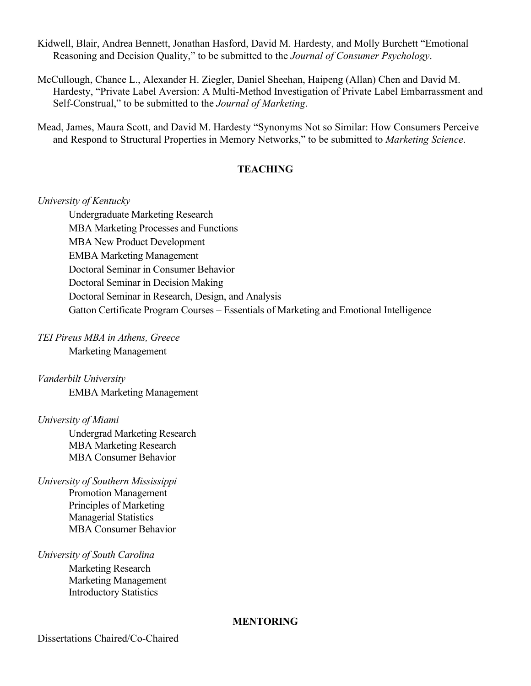Kidwell, Blair, Andrea Bennett, Jonathan Hasford, David M. Hardesty, and Molly Burchett "Emotional Reasoning and Decision Quality," to be submitted to the *Journal of Consumer Psychology*.

McCullough, Chance L., Alexander H. Ziegler, Daniel Sheehan, Haipeng (Allan) Chen and David M. Hardesty, "Private Label Aversion: A Multi-Method Investigation of Private Label Embarrassment and Self-Construal," to be submitted to the *Journal of Marketing*.

Mead, James, Maura Scott, and David M. Hardesty "Synonyms Not so Similar: How Consumers Perceive and Respond to Structural Properties in Memory Networks," to be submitted to *Marketing Science*.

# **TEACHING**

*University of Kentucky*

Undergraduate Marketing Research MBA Marketing Processes and Functions MBA New Product Development EMBA Marketing Management Doctoral Seminar in Consumer Behavior Doctoral Seminar in Decision Making Doctoral Seminar in Research, Design, and Analysis Gatton Certificate Program Courses – Essentials of Marketing and Emotional Intelligence

*TEI Pireus MBA in Athens, Greece*

Marketing Management

*Vanderbilt University* EMBA Marketing Management

*University of Miami*

Undergrad Marketing Research MBA Marketing Research MBA Consumer Behavior

*University of Southern Mississippi* Promotion Management Principles of Marketing Managerial Statistics MBA Consumer Behavior

#### *University of South Carolina*

Marketing Research Marketing Management Introductory Statistics

#### **MENTORING**

Dissertations Chaired/Co-Chaired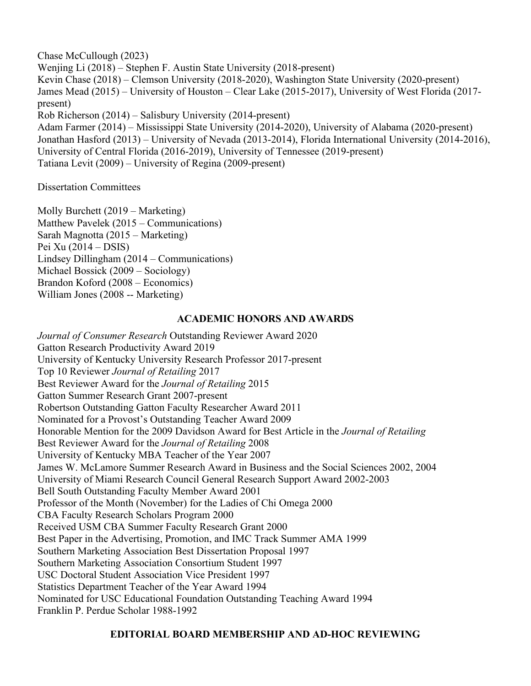Chase McCullough (2023) Wenjing Li (2018) – Stephen F. Austin State University (2018-present) Kevin Chase (2018) – Clemson University (2018-2020), Washington State University (2020-present) James Mead (2015) – University of Houston – Clear Lake (2015-2017), University of West Florida (2017 present) Rob Richerson (2014) – Salisbury University (2014-present) Adam Farmer (2014) – Mississippi State University (2014-2020), University of Alabama (2020-present) Jonathan Hasford (2013) – University of Nevada (2013-2014), Florida International University (2014-2016), University of Central Florida (2016-2019), University of Tennessee (2019-present) Tatiana Levit (2009) – University of Regina (2009-present)

Dissertation Committees

Molly Burchett (2019 – Marketing) Matthew Pavelek (2015 – Communications) Sarah Magnotta (2015 – Marketing) Pei Xu (2014 – DSIS) Lindsey Dillingham (2014 – Communications) Michael Bossick (2009 – Sociology) Brandon Koford (2008 – Economics) William Jones (2008 -- Marketing)

# **ACADEMIC HONORS AND AWARDS**

*Journal of Consumer Research* Outstanding Reviewer Award 2020 Gatton Research Productivity Award 2019 University of Kentucky University Research Professor 2017-present Top 10 Reviewer *Journal of Retailing* 2017 Best Reviewer Award for the *Journal of Retailing* 2015 Gatton Summer Research Grant 2007-present Robertson Outstanding Gatton Faculty Researcher Award 2011 Nominated for a Provost's Outstanding Teacher Award 2009 Honorable Mention for the 2009 Davidson Award for Best Article in the *Journal of Retailing* Best Reviewer Award for the *Journal of Retailing* 2008 University of Kentucky MBA Teacher of the Year 2007 James W. McLamore Summer Research Award in Business and the Social Sciences 2002, 2004 University of Miami Research Council General Research Support Award 2002-2003 Bell South Outstanding Faculty Member Award 2001 Professor of the Month (November) for the Ladies of Chi Omega 2000 CBA Faculty Research Scholars Program 2000 Received USM CBA Summer Faculty Research Grant 2000 Best Paper in the Advertising, Promotion, and IMC Track Summer AMA 1999 Southern Marketing Association Best Dissertation Proposal 1997 Southern Marketing Association Consortium Student 1997 USC Doctoral Student Association Vice President 1997 Statistics Department Teacher of the Year Award 1994 Nominated for USC Educational Foundation Outstanding Teaching Award 1994 Franklin P. Perdue Scholar 1988-1992

# **EDITORIAL BOARD MEMBERSHIP AND AD-HOC REVIEWING**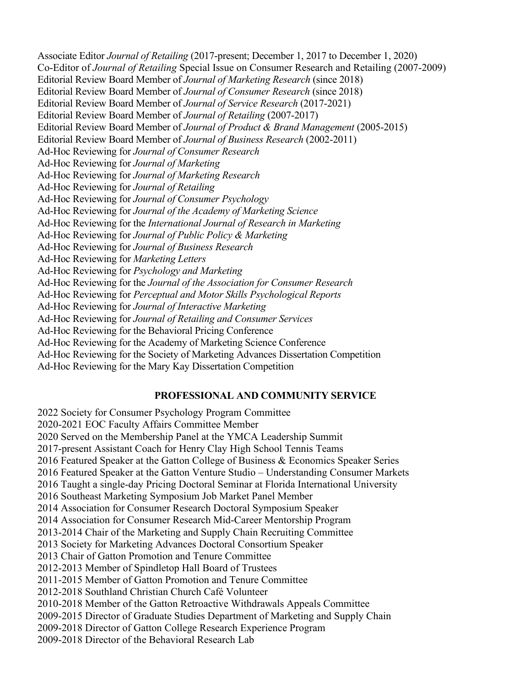Associate Editor *Journal of Retailing* (2017-present; December 1, 2017 to December 1, 2020) Co-Editor of *Journal of Retailing* Special Issue on Consumer Research and Retailing (2007-2009) Editorial Review Board Member of *Journal of Marketing Research* (since 2018) Editorial Review Board Member of *Journal of Consumer Research* (since 2018) Editorial Review Board Member of *Journal of Service Research* (2017-2021) Editorial Review Board Member of *Journal of Retailing* (2007-2017) Editorial Review Board Member of *Journal of Product & Brand Management* (2005-2015) Editorial Review Board Member of *Journal of Business Research* (2002-2011) Ad-Hoc Reviewing for *Journal of Consumer Research* Ad-Hoc Reviewing for *Journal of Marketing* Ad-Hoc Reviewing for *Journal of Marketing Research*  Ad-Hoc Reviewing for *Journal of Retailing* Ad-Hoc Reviewing for *Journal of Consumer Psychology* Ad-Hoc Reviewing for *Journal of the Academy of Marketing Science* Ad-Hoc Reviewing for the *International Journal of Research in Marketing* Ad-Hoc Reviewing for *Journal of Public Policy & Marketing* Ad-Hoc Reviewing for *Journal of Business Research* Ad-Hoc Reviewing for *Marketing Letters* Ad-Hoc Reviewing for *Psychology and Marketing*  Ad-Hoc Reviewing for the *Journal of the Association for Consumer Research* Ad-Hoc Reviewing for *Perceptual and Motor Skills Psychological Reports* Ad-Hoc Reviewing for *Journal of Interactive Marketing* Ad-Hoc Reviewing for *Journal of Retailing and Consumer Services*  Ad-Hoc Reviewing for the Behavioral Pricing Conference Ad-Hoc Reviewing for the Academy of Marketing Science Conference Ad-Hoc Reviewing for the Society of Marketing Advances Dissertation Competition Ad-Hoc Reviewing for the Mary Kay Dissertation Competition

### **PROFESSIONAL AND COMMUNITY SERVICE**

2022 Society for Consumer Psychology Program Committee 2020-2021 EOC Faculty Affairs Committee Member 2020 Served on the Membership Panel at the YMCA Leadership Summit 2017-present Assistant Coach for Henry Clay High School Tennis Teams 2016 Featured Speaker at the Gatton College of Business & Economics Speaker Series 2016 Featured Speaker at the Gatton Venture Studio – Understanding Consumer Markets 2016 Taught a single-day Pricing Doctoral Seminar at Florida International University 2016 Southeast Marketing Symposium Job Market Panel Member 2014 Association for Consumer Research Doctoral Symposium Speaker 2014 Association for Consumer Research Mid-Career Mentorship Program 2013-2014 Chair of the Marketing and Supply Chain Recruiting Committee 2013 Society for Marketing Advances Doctoral Consortium Speaker 2013 Chair of Gatton Promotion and Tenure Committee 2012-2013 Member of Spindletop Hall Board of Trustees 2011-2015 Member of Gatton Promotion and Tenure Committee 2012-2018 Southland Christian Church Café Volunteer 2010-2018 Member of the Gatton Retroactive Withdrawals Appeals Committee 2009-2015 Director of Graduate Studies Department of Marketing and Supply Chain 2009-2018 Director of Gatton College Research Experience Program 2009-2018 Director of the Behavioral Research Lab